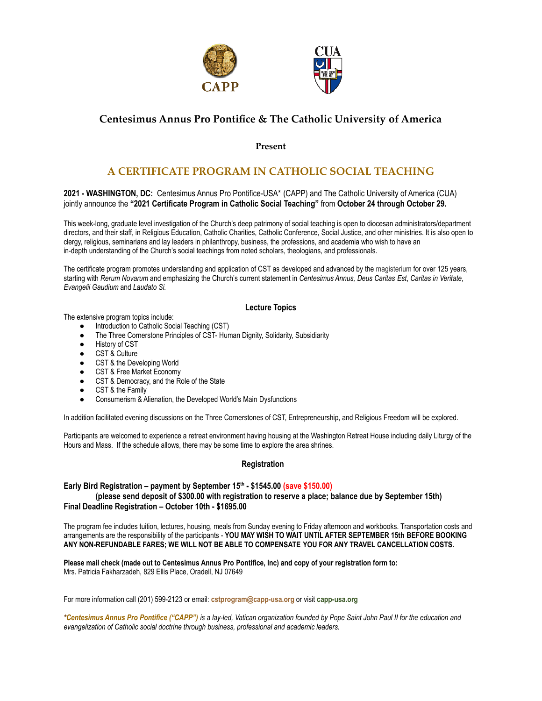

# **Centesimus Annus Pro Pontifice & The Catholic University of America**

**Present**

## **A CERTIFICATE PROGRAM IN CATHOLIC SOCIAL TEACHING**

**2021 - WASHINGTON, DC:** Centesimus Annus Pro Pontifice-USA\* (CAPP) and The Catholic University of America (CUA) jointly announce the **"2021 Certificate Program in Catholic Social Teaching"** from **October 24 through October 29.**

This week-long, graduate level investigation of the Church's deep patrimony of social teaching is open to diocesan administrators/department directors, and their staff, in Religious Education, Catholic Charities, Catholic Conference, Social Justice, and other ministries. It is also open to clergy, religious, seminarians and lay leaders in philanthropy, business, the professions, and academia who wish to have an in-depth understanding of the Church's social teachings from noted scholars, theologians, and professionals.

The certificate program promotes understanding and application of CST as developed and advanced by the magisterium for over 125 years, starting with *Rerum Novarum* and emphasizing the Church's current statement in *Centesimus Annus, Deus Caritas Est*, *Caritas in Veritate*, *Evangelii Gaudium* and *Laudato Si.*

#### **Lecture Topics**

The extensive program topics include:

- Introduction to Catholic Social Teaching (CST)
- The Three Cornerstone Principles of CST- Human Dignity, Solidarity, Subsidiarity
- History of CST
- CST & Culture
- CST & the Developing World
- CST & Free Market Economy
- CST & Democracy, and the Role of the State
- CST & the Family
- Consumerism & Alienation, the Developed World's Main Dysfunctions

In addition facilitated evening discussions on the Three Cornerstones of CST, Entrepreneurship, and Religious Freedom will be explored.

Participants are welcomed to experience a retreat environment having housing at the Washington Retreat House including daily Liturgy of the Hours and Mass. If the schedule allows, there may be some time to explore the area shrines.

#### **Registration**

### **Early Bird Registration – payment by September 15th - \$1545.00 (save \$150.00) (please send deposit of \$300.00 with registration to reserve a place; balance due by September 15th) Final Deadline Registration – October 10th - \$1695.00**

The program fee includes tuition, lectures, housing, meals from Sunday evening to Friday afternoon and workbooks. Transportation costs and arrangements are the responsibility of the participants - **YOU MAY WISH TO WAIT UNTIL AFTER SEPTEMBER 15th BEFORE BOOKING ANY NON-REFUNDABLE FARES; WE WILL NOT BE ABLE TO COMPENSATE YOU FOR ANY TRAVEL CANCELLATION COSTS.**

**Please mail check (made out to Centesimus Annus Pro Pontifice, Inc) and copy of your registration form to:** Mrs. Patricia Fakharzadeh, 829 Ellis Place, Oradell, NJ 07649

For more information call (201) 599-2123 or email: **cstprogram@capp-usa.org** or visit **capp-usa.org**

*\*Centesimus Annus Pro Pontifice ("CAPP") is a lay-led, Vatican organization founded by Pope Saint John Paul II for the education and evangelization of Catholic social doctrine through business, professional and academic leaders.*